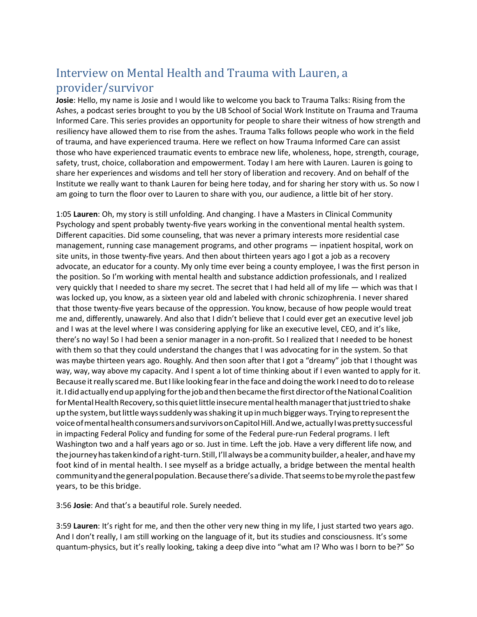## Interview on Mental Health and Trauma with Lauren, a provider/survivor

**Josie**: Hello, my name is Josie and I would like to welcome you back to Trauma Talks: Rising from the Ashes, a podcast series brought to you by the UB School of Social Work Institute on Trauma and Trauma Informed Care. This series provides an opportunity for people to share their witness of how strength and resiliency have allowed them to rise from the ashes. Trauma Talks follows people who work in the field of trauma, and have experienced trauma. Here we reflect on how Trauma Informed Care can assist those who have experienced traumatic events to embrace new life, wholeness, hope, strength, courage, safety, trust, choice, collaboration and empowerment. Today I am here with Lauren. Lauren is going to share her experiences and wisdoms and tell her story of liberation and recovery. And on behalf of the Institute we really want to thank Lauren for being here today, and for sharing her story with us. So now I am going to turn the floor over to Lauren to share with you, our audience, a little bit of her story.

1:05 **Lauren**: Oh, my story is still unfolding. And changing. I have a Masters in Clinical Community Psychology and spent probably twenty-five years working in the conventional mental health system. Different capacities. Did some counseling, that was never a primary interests more residential case management, running case management programs, and other programs — inpatient hospital, work on site units, in those twenty-five years. And then about thirteen years ago I got a job as a recovery advocate, an educator for a county. My only time ever being a county employee, I was the first person in the position. So I'm working with mental health and substance addiction professionals, and I realized very quickly that I needed to share my secret. The secret that I had held all of my life — which was that I was locked up, you know, as a sixteen year old and labeled with chronic schizophrenia. I never shared that those twenty-five years because of the oppression. You know, because of how people would treat me and, differently, unawarely. And also that I didn't believe that I could ever get an executive level job and I was at the level where I was considering applying for like an executive level, CEO, and it's like, there's no way! So I had been a senior manager in a non-profit. So I realized that I needed to be honest with them so that they could understand the changes that I was advocating for in the system. So that was maybe thirteen years ago. Roughly. And then soon after that I got a "dreamy" job that I thought was way, way, way above my capacity. And I spent a lot of time thinking about if I even wanted to apply for it. Because it really scared me. But I like looking fear in the face and doing the work I need to do to release it. I did actually end up applying for the job and then became the first director of the National Coalition for Mental Health Recovery, so this quiet little insecure mental health manager that just tried to shake upthe system,but little wayssuddenlywasshaking it up in muchbiggerways.Tryingtorepresentthe voice of mental health consumers and survivors on Capitol Hill. And we, actually I was pretty successful in impacting Federal Policy and funding for some of the Federal pure-run Federal programs. I left Washington two and a half years ago or so. Just in time. Left the job. Have a very different life now, and the journey has taken kind of a right-turn. Still, I'll always be a community builder, a healer, and have my foot kind of in mental health. I see myself as a bridge actually, a bridge between the mental health communityandthegeneralpopulation.Becausethere's a divide.Thatseemstobemyrolethepastfew years, to be this bridge.

3:56 **Josie**: And that's a beautiful role. Surely needed.

3:59 **Lauren**: It's right for me, and then the other very new thing in my life, I just started two years ago. And I don't really, I am still working on the language of it, but its studies and consciousness. It's some quantum-physics, but it's really looking, taking a deep dive into "what am I? Who was I born to be?" So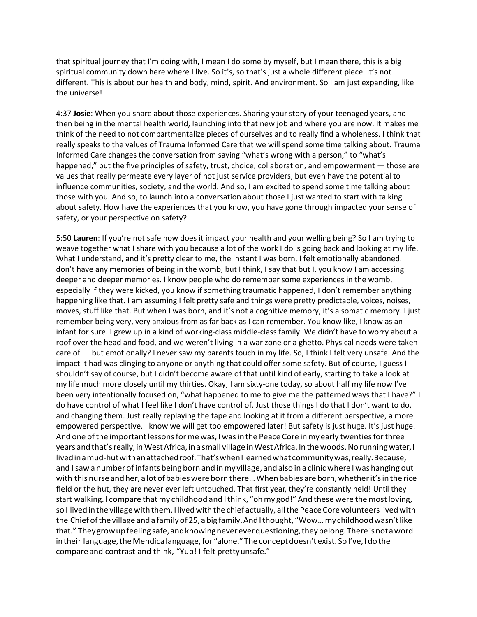that spiritual journey that I'm doing with, I mean I do some by myself, but I mean there, this is a big spiritual community down here where I live. So it's, so that's just a whole different piece. It's not different. This is about our health and body, mind, spirit. And environment. So I am just expanding, like the universe!

4:37 **Josie**: When you share about those experiences. Sharing your story of your teenaged years, and then being in the mental health world, launching into that new job and where you are now. It makes me think of the need to not compartmentalize pieces of ourselves and to really find a wholeness. I think that really speaks to the values of Trauma Informed Care that we will spend some time talking about. Trauma Informed Care changes the conversation from saying "what's wrong with a person," to "what's happened," but the five principles of safety, trust, choice, collaboration, and empowerment — those are values that really permeate every layer of not just service providers, but even have the potential to influence communities, society, and the world. And so, I am excited to spend some time talking about those with you. And so, to launch into a conversation about those I just wanted to start with talking about safety. How have the experiences that you know, you have gone through impacted your sense of safety, or your perspective on safety?

5:50 **Lauren**: If you're not safe how does it impact your health and your welling being? So I am trying to weave together what I share with you because a lot of the work I do is going back and looking at my life. What I understand, and it's pretty clear to me, the instant I was born, I felt emotionally abandoned. I don't have any memories of being in the womb, but I think, I say that but I, you know I am accessing deeper and deeper memories. I know people who do remember some experiences in the womb, especially if they were kicked, you know if something traumatic happened, I don't remember anything happening like that. I am assuming I felt pretty safe and things were pretty predictable, voices, noises, moves, stuff like that. But when I was born, and it's not a cognitive memory, it's a somatic memory. I just remember being very, very anxious from as far back as I can remember. You know like, I know as an infant for sure. I grew up in a kind of working-class middle-class family. We didn't have to worry about a roof over the head and food, and we weren't living in a war zone or a ghetto. Physical needs were taken care of — but emotionally? I never saw my parents touch in my life. So, I think I felt very unsafe. And the impact it had was clinging to anyone or anything that could offer some safety. But of course, I guess I shouldn't say of course, but I didn't become aware of that until kind of early, starting to take a look at my life much more closely until my thirties. Okay, I am sixty-one today, so about half my life now I've been very intentionally focused on, "what happened to me to give me the patterned ways that I have?" I do have control of what I feel like I don't have control of. Just those things I do that I don't want to do, and changing them. Just really replaying the tape and looking at it from a different perspective, a more empowered perspective. I know we will get too empowered later! But safety is just huge. It's just huge. And one of the important lessons for me was, I was in the Peace Core in my early twenties for three years andthat'sreally, in WestAfrica, in a small village in WestAfrica. In thewoods.Norunningwater,I lived in a mud-hut with an attached roof. That's when I learned what community was, really. Because, and I saw a number of infants being born and in my village, and also in a clinic where I was hanging out with this nurse and her, a lot of babies were born there... When babies are born, whether it's in the rice field or the hut, they are never ever left untouched. That first year, they're constantly held! Until they start walking. I compare that my childhood and I think, "oh my god!" And these were the most loving, so I lived in the village with them. I lived with the chief actually, all the Peace Core volunteers lived with the Chiefofthe village and a family of25, a big family.And I thought, "Wow… mychildhoodwasn't like that." They grow up feeling safe, and knowing never ever questioning, they belong. There is not a word in their language, the Mendica language, for "alone." The concept doesn't exist. So I've, I do the compare and contrast and think, "Yup! I felt pretty unsafe."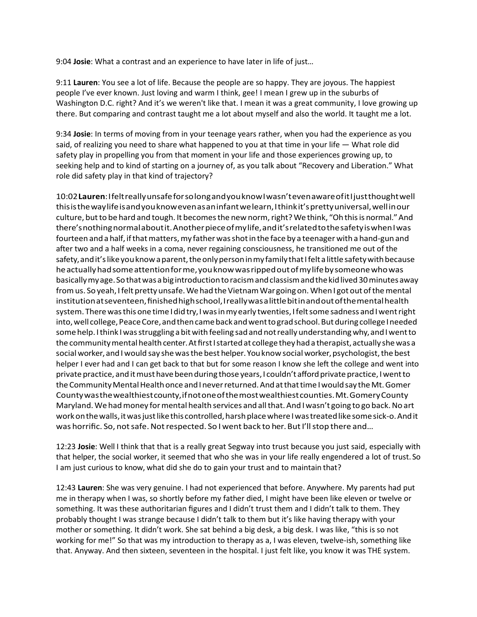9:04 **Josie**: What a contrast and an experience to have later in life of just…

9:11 **Lauren**: You see a lot of life. Because the people are so happy. They are joyous. The happiest people I've ever known. Just loving and warm I think, gee! I mean I grew up in the suburbs of Washington D.C. right? And it's we weren't like that. I mean it was a great community, I love growing up there. But comparing and contrast taught me a lot about myself and also the world. It taught me a lot.

9:34 **Josie**: In terms of moving from in your teenage years rather, when you had the experience as you said, of realizing you need to share what happened to you at that time in your life — What role did safety play in propelling you from that moment in your life and those experiences growing up, to seeking help and to kind of starting on a journey of, as you talk about "Recovery and Liberation." What role did safety play in that kind of trajectory?

10:02**Lauren**: I feltreallyunsafefor so longandyouknow I wasn't even awareofit I justthoughtwell thisisthewaylifeisandyouknowevenasaninfantwelearn, I thinkit'sprettyuniversal,wellinour culture, but to be hard and tough. It becomes the new norm, right? We think, "Oh this is normal." And there's nothing normal about it. Another piece of mylife, and it's related to the safety is when I was fourteen and a half, if that matters, my father was shot in the face by a teenager with a hand-gun and after two and a half weeks in a coma, never regaining consciousness, he transitioned me out of the safety, and it's like you know a parent, the only person in my family that I felt a little safety with because heactuallyhad some attentionforme,youknowwasrippedoutofmylifebysomeonewho was basically myage. So thatwas a bigintroductiontoracismandclassismandthe kid lived 30minutes away from us. So yeah, I felt pretty unsafe. We had the Vietnam War going on. When I got out of the mental institutionatseventeen,finishedhighschool, I reallywas a littlebitinandoutofthementalhealth system. There was this one time I did try, I was in my early twenties, I felt some sadness and I went right into, well college, Peace Core, and then came back and went to grad school. But during college I needed some help. I think I was struggling a bit with feeling sad and not really understanding why, and I went to the community mental health center. At first I started at college they had a therapist, actually she was a social worker, and I would say she was the best helper. You know social worker, psychologist, the best helper I ever had and I can get back to that but for some reason I know she left the college and went into private practice, and it must have been during those years, I couldn't afford private practice, I went to the Community Mental Health once and I never returned. And at that time I would say the Mt. Gomer Countywasthewealthiestcounty,ifnotoneofthemostwealthiestcounties.Mt.GomeryCounty Maryland. We had money for mental health services and all that. And I wasn't going to go back. No art workonthe walls, it wasjust like this controlled,harshplacewhere I wastreated like somesick-o.Andit was horrific. So, not safe. Not respected. So I went back to her. But I'll stop there and...

12:23 **Josie**: Well I think that that is a really great Segway into trust because you just said, especially with that helper, the social worker, it seemed that who she was in your life really engendered a lot of trust. So I am just curious to know, what did she do to gain your trust and to maintain that?

12:43 **Lauren**: She was very genuine. I had not experienced that before. Anywhere. My parents had put me in therapy when I was, so shortly before my father died, I might have been like eleven or twelve or something. It was these authoritarian figures and I didn't trust them and I didn't talk to them. They probably thought I was strange because I didn't talk to them but it's like having therapy with your mother or something. It didn't work. She sat behind a big desk, a big desk. I was like, "this is so not working for me!" So that was my introduction to therapy as a, I was eleven, twelve-ish, something like that. Anyway. And then sixteen, seventeen in the hospital. I just felt like, you know it was THE system.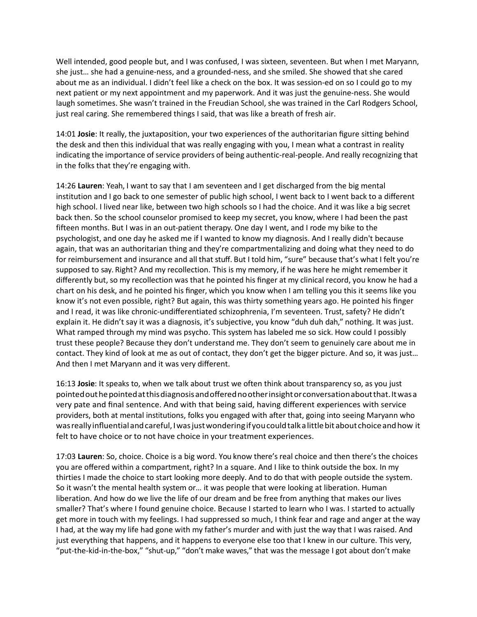Well intended, good people but, and I was confused, I was sixteen, seventeen. But when I met Maryann, she just… she had a genuine-ness, and a grounded-ness, and she smiled. She showed that she cared about me as an individual. I didn't feel like a check on the box. It was session-ed on so I could go to my next patient or my next appointment and my paperwork. And it was just the genuine-ness. She would laugh sometimes. She wasn't trained in the Freudian School, she was trained in the Carl Rodgers School, just real caring. She remembered things I said, that was like a breath of fresh air.

14:01 **Josie**: It really, the juxtaposition, your two experiences of the authoritarian figure sitting behind the desk and then this individual that was really engaging with you, I mean what a contrast in reality indicating the importance of service providers of being authentic-real-people. And really recognizing that in the folks that they're engaging with.

14:26 **Lauren**: Yeah, I want to say that I am seventeen and I get discharged from the big mental institution and I go back to one semester of public high school, I went back to I went back to a different high school. I lived near like, between two high schools so I had the choice. And it was like a big secret back then. So the school counselor promised to keep my secret, you know, where I had been the past fifteen months. But I was in an out-patient therapy. One day I went, and I rode my bike to the psychologist, and one day he asked me if I wanted to know my diagnosis. And I really didn't because again, that was an authoritarian thing and they're compartmentalizing and doing what they need to do for reimbursement and insurance and all that stuff. But I told him, "sure" because that's what I felt you're supposed to say. Right? And my recollection. This is my memory, if he was here he might remember it differently but, so my recollection was that he pointed his finger at my clinical record, you know he had a chart on his desk, and he pointed his finger, which you know when I am telling you this it seems like you know it's not even possible, right? But again, this was thirty something years ago. He pointed his finger and I read, it was like chronic-undifferentiated schizophrenia, I'm seventeen. Trust, safety? He didn't explain it. He didn't say it was a diagnosis, it's subjective, you know "duh duh dah," nothing. It was just. What ramped through my mind was psycho. This system has labeled me so sick. How could I possibly trust these people? Because they don't understand me. They don't seem to genuinely care about me in contact. They kind of look at me as out of contact, they don't get the bigger picture. And so, it was just… And then I met Maryann and it was very different.

16:13 **Josie**: It speaks to, when we talk about trust we often think about transparency so, as you just pointedouthepointedatthisdiagnosisandofferednootherinsightorconversationaboutthat.Itwasa very pate and final sentence. And with that being said, having different experiences with service providers, both at mental institutions, folks you engaged with after that, going into seeing Maryann who was really influentialandcareful, I wasjustwondering if youcouldtalk a little bit aboutchoiceandhow it felt to have choice or to not have choice in your treatment experiences.

17:03 **Lauren**: So, choice. Choice is a big word. You know there's real choice and then there's the choices you are offered within a compartment, right? In a square. And I like to think outside the box. In my thirties I made the choice to start looking more deeply. And to do that with people outside the system. So it wasn't the mental health system or… it was people that were looking at liberation. Human liberation. And how do we live the life of our dream and be free from anything that makes our lives smaller? That's where I found genuine choice. Because I started to learn who I was. I started to actually get more in touch with my feelings. I had suppressed so much, I think fear and rage and anger at the way I had, at the way my life had gone with my father's murder and with just the way that I was raised. And just everything that happens, and it happens to everyone else too that I knew in our culture. This very, "put-the-kid-in-the-box," "shut-up," "don't make waves," that was the message I got about don't make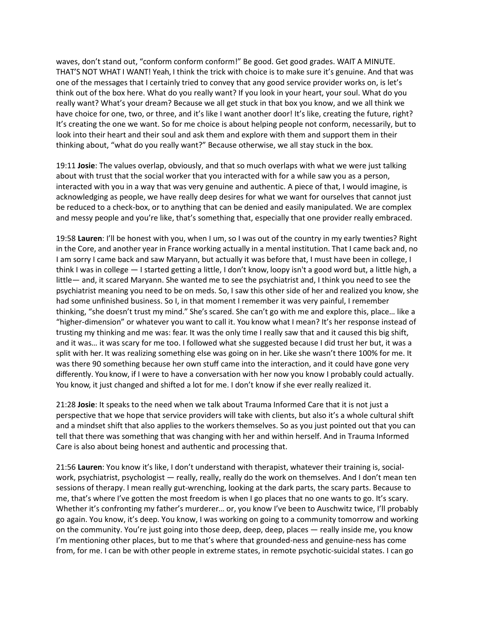waves, don't stand out, "conform conform conform!" Be good. Get good grades. WAIT A MINUTE. THAT'S NOT WHAT I WANT! Yeah, I think the trick with choice is to make sure it's genuine. And that was one of the messages that I certainly tried to convey that any good service provider works on, is let's think out of the box here. What do you really want? If you look in your heart, your soul. What do you really want? What's your dream? Because we all get stuck in that box you know, and we all think we have choice for one, two, or three, and it's like I want another door! It's like, creating the future, right? It's creating the one we want. So for me choice is about helping people not conform, necessarily, but to look into their heart and their soul and ask them and explore with them and support them in their thinking about, "what do you really want?" Because otherwise, we all stay stuck in the box.

19:11 **Josie**: The values overlap, obviously, and that so much overlaps with what we were just talking about with trust that the social worker that you interacted with for a while saw you as a person, interacted with you in a way that was very genuine and authentic. A piece of that, I would imagine, is acknowledging as people, we have really deep desires for what we want for ourselves that cannot just be reduced to a check-box, or to anything that can be denied and easily manipulated. We are complex and messy people and you're like, that's something that, especially that one provider really embraced.

19:58 **Lauren**: I'll be honest with you, when I um, so I was out of the country in my early twenties? Right in the Core, and another year in France working actually in a mental institution. That I came back and, no I am sorry I came back and saw Maryann, but actually it was before that, I must have been in college, I think I was in college — I started getting a little, I don't know, loopy isn't a good word but, a little high, a little— and, it scared Maryann. She wanted me to see the psychiatrist and, I think you need to see the psychiatrist meaning you need to be on meds. So, I saw this other side of her and realized you know, she had some unfinished business. So I, in that moment I remember it was very painful, I remember thinking, "she doesn't trust my mind." She's scared. She can't go with me and explore this, place… like a "higher-dimension" or whatever you want to call it. You know what I mean? It's her response instead of trusting my thinking and me was: fear. It was the only time I really saw that and it caused this big shift, and it was… it was scary for me too. I followed what she suggested because I did trust her but, it was a split with her. It was realizing something else was going on in her. Like she wasn't there 100% for me. It was there 90 something because her own stuff came into the interaction, and it could have gone very differently. You know, if I were to have a conversation with her now you know I probably could actually. You know, it just changed and shifted a lot for me. I don't know if she ever really realized it.

21:28 **Josie**: It speaks to the need when we talk about Trauma Informed Care that it is not just a perspective that we hope that service providers will take with clients, but also it's a whole cultural shift and a mindset shift that also applies to the workers themselves. So as you just pointed out that you can tell that there was something that was changing with her and within herself. And in Trauma Informed Care is also about being honest and authentic and processing that.

21:56 **Lauren**: You know it's like, I don't understand with therapist, whatever their training is, socialwork, psychiatrist, psychologist — really, really, really do the work on themselves. And I don't mean ten sessions of therapy. I mean really gut-wrenching, looking at the dark parts, the scary parts. Because to me, that's where I've gotten the most freedom is when I go places that no one wants to go. It's scary. Whether it's confronting my father's murderer… or, you know I've been to Auschwitz twice, I'll probably go again. You know, it's deep. You know, I was working on going to a community tomorrow and working on the community. You're just going into those deep, deep, deep, places — really inside me, you know I'm mentioning other places, but to me that's where that grounded-ness and genuine-ness has come from, for me. I can be with other people in extreme states, in remote psychotic-suicidal states. I can go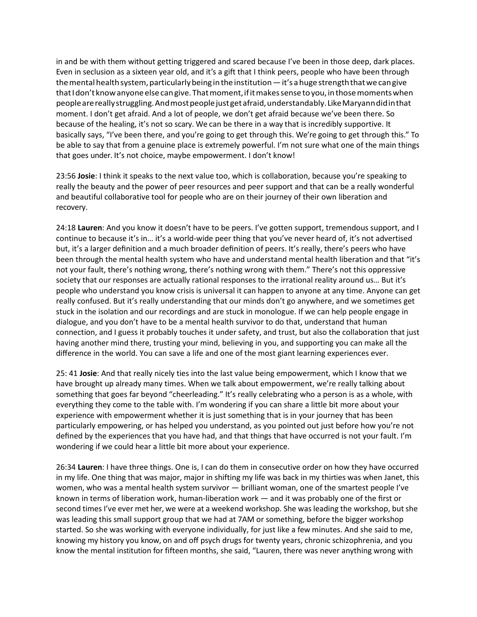in and be with them without getting triggered and scared because I've been in those deep, dark places. Even in seclusion as a sixteen year old, and it's a gift that I think peers, people who have been through the mental health system, particularly being in the institution  $-$  it's a huge strength that we can give that I don't knowanyone else cangive.Thatmoment, if it makessensetoyou, in thosemomentswhen peoplearereallystruggling.Andmostpeoplejustgetafraid,understandably.LikeMaryanndidinthat moment. I don't get afraid. And a lot of people, we don't get afraid because we've been there. So because of the healing, it's not so scary. We can be there in a way that is incredibly supportive. It basically says, "I've been there, and you're going to get through this. We're going to get through this." To be able to say that from a genuine place is extremely powerful. I'm not sure what one of the main things that goes under. It's not choice, maybe empowerment. I don't know!

23:56 **Josie**: I think it speaks to the next value too, which is collaboration, because you're speaking to really the beauty and the power of peer resources and peer support and that can be a really wonderful and beautiful collaborative tool for people who are on their journey of their own liberation and recovery.

24:18 **Lauren**: And you know it doesn't have to be peers. I've gotten support, tremendous support, and I continue to because it's in… it's a world-wide peer thing that you've never heard of, it's not advertised but, it's a larger definition and a much broader definition of peers. It's really, there's peers who have been through the mental health system who have and understand mental health liberation and that "it's not your fault, there's nothing wrong, there's nothing wrong with them." There's not this oppressive society that our responses are actually rational responses to the irrational reality around us… But it's people who understand you know crisis is universal it can happen to anyone at any time. Anyone can get really confused. But it's really understanding that our minds don't go anywhere, and we sometimes get stuck in the isolation and our recordings and are stuck in monologue. If we can help people engage in dialogue, and you don't have to be a mental health survivor to do that, understand that human connection, and I guess it probably touches it under safety, and trust, but also the collaboration that just having another mind there, trusting your mind, believing in you, and supporting you can make all the difference in the world. You can save a life and one of the most giant learning experiences ever.

25: 41 **Josie**: And that really nicely ties into the last value being empowerment, which I know that we have brought up already many times. When we talk about empowerment, we're really talking about something that goes far beyond "cheerleading." It's really celebrating who a person is as a whole, with everything they come to the table with. I'm wondering if you can share a little bit more about your experience with empowerment whether it is just something that is in your journey that has been particularly empowering, or has helped you understand, as you pointed out just before how you're not defined by the experiences that you have had, and that things that have occurred is not your fault. I'm wondering if we could hear a little bit more about your experience.

26:34 **Lauren**: I have three things. One is, I can do them in consecutive order on how they have occurred in my life. One thing that was major, major in shifting my life was back in my thirties was when Janet, this women, who was a mental health system survivor — brilliant woman, one of the smartest people I've known in terms of liberation work, human-liberation work — and it was probably one of the first or second times I've ever met her, we were at a weekend workshop. She was leading the workshop, but she was leading this small support group that we had at 7AM or something, before the bigger workshop started. So she was working with everyone individually, for just like a few minutes. And she said to me, knowing my history you know, on and off psych drugs for twenty years, chronic schizophrenia, and you know the mental institution for fifteen months, she said, "Lauren, there was never anything wrong with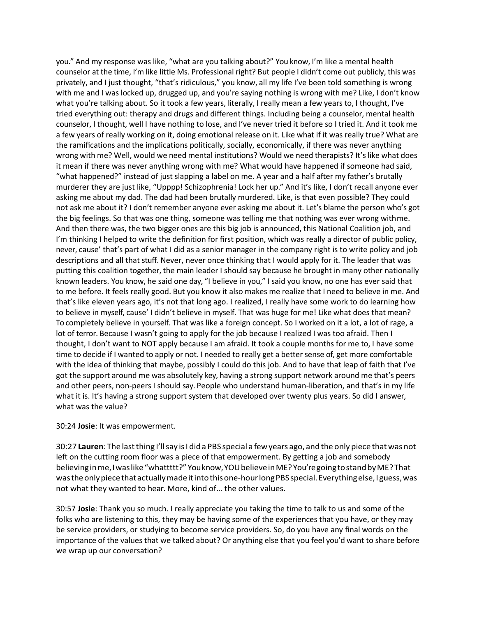you." And my response was like, "what are you talking about?" You know, I'm like a mental health counselor at the time, I'm like little Ms. Professional right? But people I didn't come out publicly, this was privately, and I just thought, "that's ridiculous," you know, all my life I've been told something is wrong with me and I was locked up, drugged up, and you're saying nothing is wrong with me? Like, I don't know what you're talking about. So it took a few years, literally, I really mean a few years to, I thought, I've tried everything out: therapy and drugs and different things. Including being a counselor, mental health counselor, I thought, well I have nothing to lose, and I've never tried it before so I tried it. And it took me a few years of really working on it, doing emotional release on it. Like what if it was really true? What are the ramifications and the implications politically, socially, economically, if there was never anything wrong with me? Well, would we need mental institutions? Would we need therapists? It's like what does it mean if there was never anything wrong with me? What would have happened if someone had said, "what happened?" instead of just slapping a label on me. A year and a half after my father's brutally murderer they are just like, "Upppp! Schizophrenia! Lock her up." And it's like, I don't recall anyone ever asking me about my dad. The dad had been brutally murdered. Like, is that even possible? They could not ask me about it? I don't remember anyone ever asking me about it. Let's blame the person who's got the big feelings. So that was one thing, someone was telling me that nothing was ever wrong withme. And then there was, the two bigger ones are this big job is announced, this National Coalition job, and I'm thinking I helped to write the definition for first position, which was really a director of public policy, never, cause' that's part of what I did as a senior manager in the company right is to write policy and job descriptions and all that stuff. Never, never once thinking that I would apply for it. The leader that was putting this coalition together, the main leader I should say because he brought in many other nationally known leaders. You know, he said one day, "I believe in you," I said you know, no one has ever said that to me before. It feels really good. But you know it also makes me realize that I need to believe in me. And that's like eleven years ago, it's not that long ago. I realized, I really have some work to do learning how to believe in myself, cause' I didn't believe in myself. That was huge for me! Like what does that mean? To completely believe in yourself. That was like a foreign concept. So I worked on it a lot, a lot of rage, a lot of terror. Because I wasn't going to apply for the job because I realized I was too afraid. Then I thought, I don't want to NOT apply because I am afraid. It took a couple months for me to, I have some time to decide if I wanted to apply or not. I needed to really get a better sense of, get more comfortable with the idea of thinking that maybe, possibly I could do this job. And to have that leap of faith that I've got the support around me was absolutely key, having a strong support network around me that's peers and other peers, non-peers I should say. People who understand human-liberation, and that's in my life what it is. It's having a strong support system that developed over twenty plus years. So did I answer, what was the value?

## 30:24 **Josie**: It was empowerment.

30:27 **Lauren**: The last thing I'llsay is I did a PBS special a fewyears ago, and the only piece thatwas not left on the cutting room floor was a piece of that empowerment. By getting a job and somebody believinginme, I was like "whattttt?"Youknow,YOU believe inME?You'regoingtostandbyME?That wastheonlypiecethat actually made it intothisone-hourlongPBS special. Everythingelse, I guess,was not what they wanted to hear. More, kind of… the other values.

30:57 **Josie**: Thank you so much. I really appreciate you taking the time to talk to us and some of the folks who are listening to this, they may be having some of the experiences that you have, or they may be service providers, or studying to become service providers. So, do you have any final words on the importance of the values that we talked about? Or anything else that you feel you'd want to share before we wrap up our conversation?